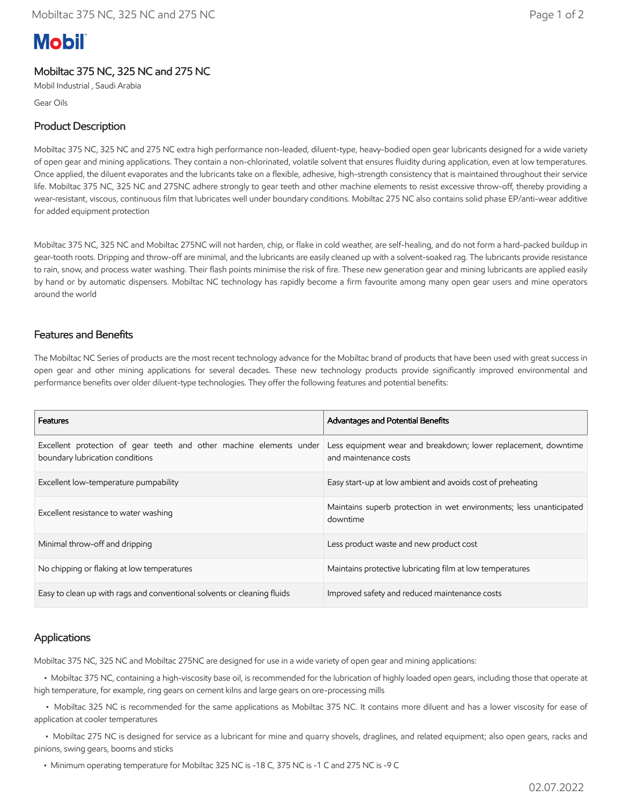# **Mobil**

## Mobiltac 375 NC, 325 NC and 275 NC

Mobil Industrial , Saudi Arabia

Gear Oils

#### Product Description

Mobiltac 375 NC, 325 NC and 275 NC extra high performance non-leaded, diluent-type, heavy-bodied open gear lubricants designed for a wide variety of open gear and mining applications. They contain a non-chlorinated, volatile solvent that ensures fluidity during application, even at low temperatures. Once applied, the diluent evaporates and the lubricants take on a flexible, adhesive, high-strength consistency that is maintained throughout their service life. Mobiltac 375 NC, 325 NC and 275NC adhere strongly to gear teeth and other machine elements to resist excessive throw-off, thereby providing a wear-resistant, viscous, continuous film that lubricates well under boundary conditions. Mobiltac 275 NC also contains solid phase EP/anti-wear additive for added equipment protection

Mobiltac 375 NC, 325 NC and Mobiltac 275NC will not harden, chip, or flake in cold weather, are self-healing, and do not form a hard-packed buildup in gear-tooth roots. Dripping and throw-off are minimal, and the lubricants are easily cleaned up with a solvent-soaked rag. The lubricants provide resistance to rain, snow, and process water washing. Their flash points minimise the risk of fire. These new generation gear and mining lubricants are applied easily by hand or by automatic dispensers. Mobiltac NC technology has rapidly become a firm favourite among many open gear users and mine operators around the world

#### Features and Benefits

The Mobiltac NC Series of products are the most recent technology advance for the Mobiltac brand of products that have been used with great success in open gear and other mining applications for several decades. These new technology products provide significantly improved environmental and performance benefits over older diluent-type technologies. They offer the following features and potential benefits:

| Features                                                                                               | Advantages and Potential Benefits                                                       |
|--------------------------------------------------------------------------------------------------------|-----------------------------------------------------------------------------------------|
| Excellent protection of gear teeth and other machine elements under<br>boundary lubrication conditions | Less equipment wear and breakdown; lower replacement, downtime<br>and maintenance costs |
| Excellent low-temperature pumpability                                                                  | Easy start-up at low ambient and avoids cost of preheating                              |
| Excellent resistance to water washing                                                                  | Maintains superb protection in wet environments; less unanticipated<br>downtime         |
| Minimal throw-off and dripping                                                                         | Less product waste and new product cost                                                 |
| No chipping or flaking at low temperatures                                                             | Maintains protective lubricating film at low temperatures                               |
| Easy to clean up with rags and conventional solvents or cleaning fluids                                | Improved safety and reduced maintenance costs                                           |

#### Applications

Mobiltac 375 NC, 325 NC and Mobiltac 275NC are designed for use in a wide variety of open gear and mining applications:

 • Mobiltac 375 NC, containing a high-viscosity base oil, is recommended for the lubrication of highly loaded open gears, including those that operate at high temperature, for example, ring gears on cement kilns and large gears on ore-processing mills

 • Mobiltac 325 NC is recommended for the same applications as Mobiltac 375 NC. It contains more diluent and has a lower viscosity for ease of application at cooler temperatures

 • Mobiltac 275 NC is designed for service as a lubricant for mine and quarry shovels, draglines, and related equipment; also open gears, racks and pinions, swing gears, booms and sticks

• Minimum operating temperature for Mobiltac 325 NC is -18 C, 375 NC is -1 C and 275 NC is -9 C